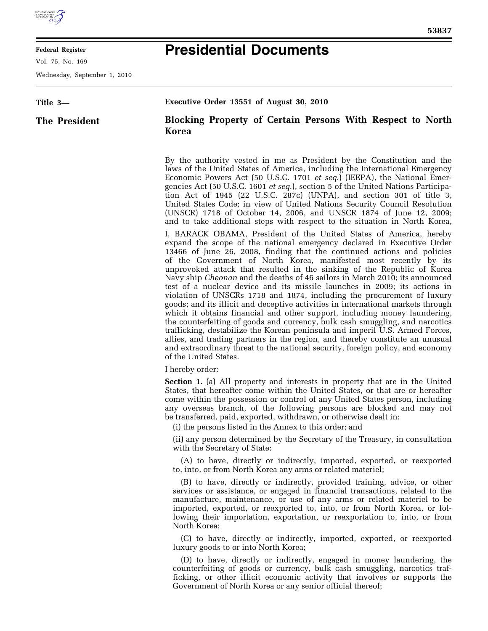

#### **Federal Register**

Vol. 75, No. 169

Wednesday, September 1, 2010

# **Presidential Documents**

| Title 3-      | Executive Order 13551 of August 30, 2010                                                                                                                                                                                                                                                                                                                                                                                                                                                                                                                                                                                                                                                                                                                                                                                                                                                                                                                                                                                                                                                                                                          |
|---------------|---------------------------------------------------------------------------------------------------------------------------------------------------------------------------------------------------------------------------------------------------------------------------------------------------------------------------------------------------------------------------------------------------------------------------------------------------------------------------------------------------------------------------------------------------------------------------------------------------------------------------------------------------------------------------------------------------------------------------------------------------------------------------------------------------------------------------------------------------------------------------------------------------------------------------------------------------------------------------------------------------------------------------------------------------------------------------------------------------------------------------------------------------|
| The President | Blocking Property of Certain Persons With Respect to North<br>Korea                                                                                                                                                                                                                                                                                                                                                                                                                                                                                                                                                                                                                                                                                                                                                                                                                                                                                                                                                                                                                                                                               |
|               | By the authority vested in me as President by the Constitution and the<br>laws of the United States of America, including the International Emergency<br>Economic Powers Act (50 U.S.C. 1701 et seq.) (IEEPA), the National Emer-<br>gencies Act (50 U.S.C. 1601 <i>et seq.</i> ), section 5 of the United Nations Participa-<br>tion Act of 1945 (22 U.S.C. 287c) (UNPA), and section 301 of title 3,<br>United States Code; in view of United Nations Security Council Resolution<br>(UNSCR) 1718 of October 14, 2006, and UNSCR 1874 of June 12, 2009;<br>and to take additional steps with respect to the situation in North Korea,                                                                                                                                                                                                                                                                                                                                                                                                                                                                                                           |
|               | I, BARACK OBAMA, President of the United States of America, hereby<br>expand the scope of the national emergency declared in Executive Order<br>13466 of June 26, 2008, finding that the continued actions and policies<br>of the Government of North Korea, manifested most recently by its<br>unprovoked attack that resulted in the sinking of the Republic of Korea<br>Navy ship <i>Cheonan</i> and the deaths of 46 sailors in March 2010; its announced<br>test of a nuclear device and its missile launches in 2009; its actions in<br>violation of UNSCRs 1718 and 1874, including the procurement of luxury<br>goods; and its illicit and deceptive activities in international markets through<br>which it obtains financial and other support, including money laundering,<br>the counterfeiting of goods and currency, bulk cash smuggling, and narcotics<br>trafficking, destabilize the Korean peninsula and imperil U.S. Armed Forces,<br>allies, and trading partners in the region, and thereby constitute an unusual<br>and extraordinary threat to the national security, foreign policy, and economy<br>of the United States. |
|               | I hereby order:                                                                                                                                                                                                                                                                                                                                                                                                                                                                                                                                                                                                                                                                                                                                                                                                                                                                                                                                                                                                                                                                                                                                   |
|               | <b>Section 1.</b> (a) All property and interests in property that are in the United<br>States, that hereafter come within the United States, or that are or hereafter<br>come within the possession or control of any United States person, including<br>any overseas branch, of the following persons are blocked and may not<br>be transferred, paid, exported, withdrawn, or otherwise dealt in:<br>(i) the persons listed in the Annex to this order; and                                                                                                                                                                                                                                                                                                                                                                                                                                                                                                                                                                                                                                                                                     |
|               | (ii) any person determined by the Secretary of the Treasury, in consultation<br>with the Secretary of State:                                                                                                                                                                                                                                                                                                                                                                                                                                                                                                                                                                                                                                                                                                                                                                                                                                                                                                                                                                                                                                      |
|               | (A) to have, directly or indirectly, imported, exported, or reexported<br>to, into, or from North Korea any arms or related materiel;                                                                                                                                                                                                                                                                                                                                                                                                                                                                                                                                                                                                                                                                                                                                                                                                                                                                                                                                                                                                             |
|               | (B) to have, directly or indirectly, provided training, advice, or other<br>services or assistance, or engaged in financial transactions, related to the<br>manufacture, maintenance, or use of any arms or related materiel to be<br>imported, exported, or reexported to, into, or from North Korea, or fol-<br>lowing their importation, exportation, or reexportation to, into, or from<br>North Korea;                                                                                                                                                                                                                                                                                                                                                                                                                                                                                                                                                                                                                                                                                                                                       |
|               | (C) to have, directly or indirectly, imported, exported, or reexported<br>luxury goods to or into North Korea;                                                                                                                                                                                                                                                                                                                                                                                                                                                                                                                                                                                                                                                                                                                                                                                                                                                                                                                                                                                                                                    |
|               | (D) to have, directly or indirectly, engaged in money laundering, the<br>counterfeiting of goods or currency, bulk cash smuggling, narcotics traf-<br>ficking, or other illicit economic activity that involves or supports the<br>Government of North Korea or any senior official thereof;                                                                                                                                                                                                                                                                                                                                                                                                                                                                                                                                                                                                                                                                                                                                                                                                                                                      |
|               |                                                                                                                                                                                                                                                                                                                                                                                                                                                                                                                                                                                                                                                                                                                                                                                                                                                                                                                                                                                                                                                                                                                                                   |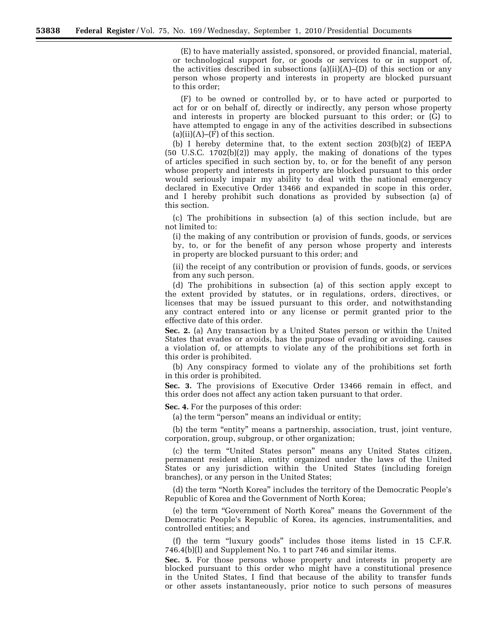(E) to have materially assisted, sponsored, or provided financial, material, or technological support for, or goods or services to or in support of, the activities described in subsections  $(a)(ii)(A)$ –(D) of this section or any person whose property and interests in property are blocked pursuant to this order;

(F) to be owned or controlled by, or to have acted or purported to act for or on behalf of, directly or indirectly, any person whose property and interests in property are blocked pursuant to this order; or (G) to have attempted to engage in any of the activities described in subsections  $(a)(ii)(A)$ – $(F)$  of this section.

(b) I hereby determine that, to the extent section 203(b)(2) of IEEPA (50 U.S.C. 1702(b)(2)) may apply, the making of donations of the types of articles specified in such section by, to, or for the benefit of any person whose property and interests in property are blocked pursuant to this order would seriously impair my ability to deal with the national emergency declared in Executive Order 13466 and expanded in scope in this order, and I hereby prohibit such donations as provided by subsection (a) of this section.

(c) The prohibitions in subsection (a) of this section include, but are not limited to:

(i) the making of any contribution or provision of funds, goods, or services by, to, or for the benefit of any person whose property and interests in property are blocked pursuant to this order; and

(ii) the receipt of any contribution or provision of funds, goods, or services from any such person.

(d) The prohibitions in subsection (a) of this section apply except to the extent provided by statutes, or in regulations, orders, directives, or licenses that may be issued pursuant to this order, and notwithstanding any contract entered into or any license or permit granted prior to the effective date of this order.

**Sec. 2.** (a) Any transaction by a United States person or within the United States that evades or avoids, has the purpose of evading or avoiding, causes a violation of, or attempts to violate any of the prohibitions set forth in this order is prohibited.

(b) Any conspiracy formed to violate any of the prohibitions set forth in this order is prohibited.

**Sec. 3.** The provisions of Executive Order 13466 remain in effect, and this order does not affect any action taken pursuant to that order.

**Sec. 4.** For the purposes of this order:

(a) the term "person" means an individual or entity;

(b) the term "entity" means a partnership, association, trust, joint venture, corporation, group, subgroup, or other organization;

(c) the term ''United States person'' means any United States citizen, permanent resident alien, entity organized under the laws of the United States or any jurisdiction within the United States (including foreign branches), or any person in the United States;

(d) the term ''North Korea'' includes the territory of the Democratic People's Republic of Korea and the Government of North Korea;

(e) the term ''Government of North Korea'' means the Government of the Democratic People's Republic of Korea, its agencies, instrumentalities, and controlled entities; and

(f) the term ''luxury goods'' includes those items listed in 15 C.F.R. 746.4(b)(l) and Supplement No. 1 to part 746 and similar items.

**Sec. 5.** For those persons whose property and interests in property are blocked pursuant to this order who might have a constitutional presence in the United States, I find that because of the ability to transfer funds or other assets instantaneously, prior notice to such persons of measures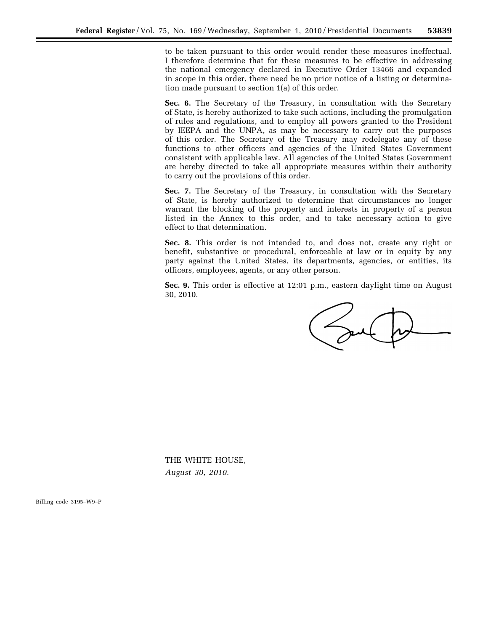to be taken pursuant to this order would render these measures ineffectual. I therefore determine that for these measures to be effective in addressing the national emergency declared in Executive Order 13466 and expanded in scope in this order, there need be no prior notice of a listing or determination made pursuant to section 1(a) of this order.

**Sec. 6.** The Secretary of the Treasury, in consultation with the Secretary of State, is hereby authorized to take such actions, including the promulgation of rules and regulations, and to employ all powers granted to the President by IEEPA and the UNPA, as may be necessary to carry out the purposes of this order. The Secretary of the Treasury may redelegate any of these functions to other officers and agencies of the United States Government consistent with applicable law. All agencies of the United States Government are hereby directed to take all appropriate measures within their authority to carry out the provisions of this order.

**Sec. 7.** The Secretary of the Treasury, in consultation with the Secretary of State, is hereby authorized to determine that circumstances no longer warrant the blocking of the property and interests in property of a person listed in the Annex to this order, and to take necessary action to give effect to that determination.

**Sec. 8.** This order is not intended to, and does not, create any right or benefit, substantive or procedural, enforceable at law or in equity by any party against the United States, its departments, agencies, or entities, its officers, employees, agents, or any other person.

**Sec. 9.** This order is effective at 12:01 p.m., eastern daylight time on August 30, 2010.

THE WHITE HOUSE, *August 30, 2010.* 

Billing code 3195–W9–P